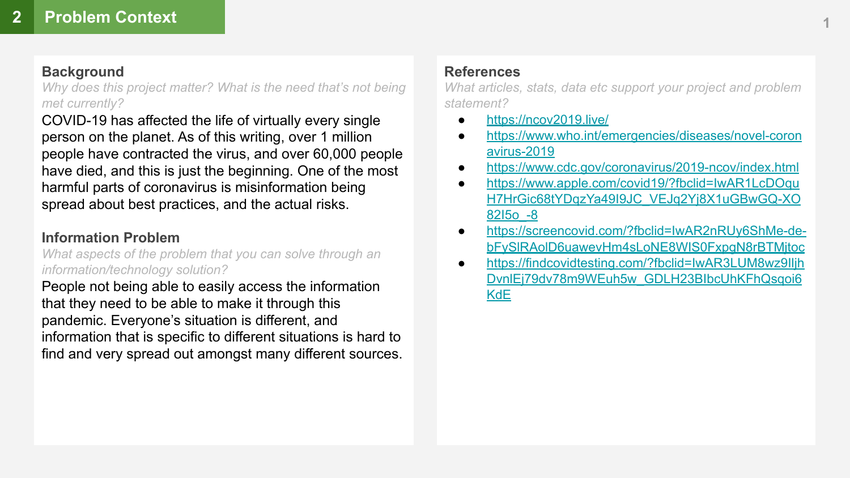### **Background**

*Why does this project matter? What is the need that's not being met currently?*

COVID-19 has affected the life of virtually every single person on the planet. As of this writing, over 1 million people have contracted the virus, and over 60,000 people have died, and this is just the beginning. One of the most harmful parts of coronavirus is misinformation being spread about best practices, and the actual risks.

### **Information Problem**

*What aspects of the problem that you can solve through an information/technology solution?*

People not being able to easily access the information that they need to be able to make it through this pandemic. Everyone's situation is different, and information that is specific to different situations is hard to find and very spread out amongst many different sources.

## **References**

*What articles, stats, data etc support your project and problem statement?*

- <https://ncov2019.live/>
- [https://www.who.int/emergencies/diseases/novel-coron](https://www.who.int/emergencies/diseases/novel-coronavirus-2019) [avirus-2019](https://www.who.int/emergencies/diseases/novel-coronavirus-2019)
- <https://www.cdc.gov/coronavirus/2019-ncov/index.html>
- [https://www.apple.com/covid19/?fbclid=IwAR1LcDOqu](https://www.apple.com/covid19/?fbclid=IwAR1LcDOquH7HrGic68tYDqzYa49I9JC_VEJq2Yj8X1uGBwGQ-XO82I5o_-8) [H7HrGic68tYDqzYa49I9JC\\_VEJq2Yj8X1uGBwGQ-XO](https://www.apple.com/covid19/?fbclid=IwAR1LcDOquH7HrGic68tYDqzYa49I9JC_VEJq2Yj8X1uGBwGQ-XO82I5o_-8) [82I5o\\_-8](https://www.apple.com/covid19/?fbclid=IwAR1LcDOquH7HrGic68tYDqzYa49I9JC_VEJq2Yj8X1uGBwGQ-XO82I5o_-8)
- [https://screencovid.com/?fbclid=IwAR2nRUy6ShMe-de](https://screencovid.com/?fbclid=IwAR2nRUy6ShMe-de-bFySlRAolD6uawevHm4sLoNE8WIS0FxpgN8rBTMjtoc)[bFySlRAolD6uawevHm4sLoNE8WIS0FxpgN8rBTMjtoc](https://screencovid.com/?fbclid=IwAR2nRUy6ShMe-de-bFySlRAolD6uawevHm4sLoNE8WIS0FxpgN8rBTMjtoc)
- [https://findcovidtesting.com/?fbclid=IwAR3LUM8wz9Iljh](https://findcovidtesting.com/?fbclid=IwAR3LUM8wz9IljhDvnlEj79dv78m9WEuh5w_GDLH23BIbcUhKFhQsqoi6KdE) [DvnlEj79dv78m9WEuh5w\\_GDLH23BIbcUhKFhQsqoi6](https://findcovidtesting.com/?fbclid=IwAR3LUM8wz9IljhDvnlEj79dv78m9WEuh5w_GDLH23BIbcUhKFhQsqoi6KdE) **[KdE](https://findcovidtesting.com/?fbclid=IwAR3LUM8wz9IljhDvnlEj79dv78m9WEuh5w_GDLH23BIbcUhKFhQsqoi6KdE)**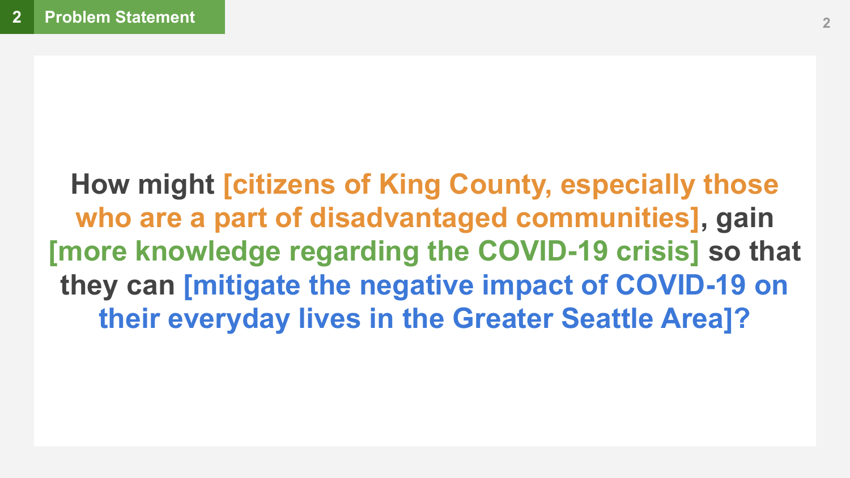**How might [citizens of King County, especially those who are a part of disadvantaged communities], gain [more knowledge regarding the COVID-19 crisis] so that they can [mitigate the negative impact of COVID-19 on their everyday lives in the Greater Seattle Area]?**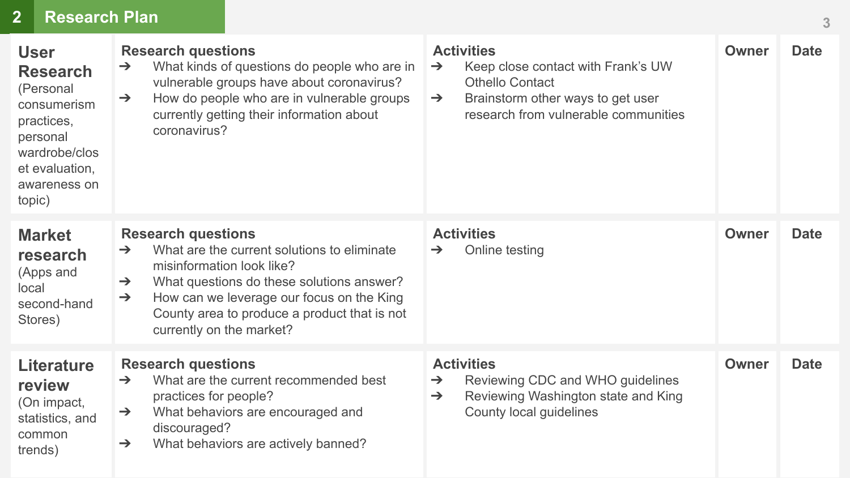# **2 Research Plan**

| <b>User</b><br><b>Research</b><br>(Personal<br>consumerism<br>practices,<br>personal<br>wardrobe/clos<br>et evaluation,<br>awareness on<br>topic) | <b>Research questions</b><br>What kinds of questions do people who are in<br>$\rightarrow$<br>vulnerable groups have about coronavirus?<br>How do people who are in vulnerable groups<br>$\rightarrow$<br>currently getting their information about<br>coronavirus?                                                            | <b>Activities</b><br>Keep close contact with Frank's UW<br>$\rightarrow$<br><b>Othello Contact</b><br>Brainstorm other ways to get user<br>$\rightarrow$<br>research from vulnerable communities | Owner        | <b>Date</b> |
|---------------------------------------------------------------------------------------------------------------------------------------------------|--------------------------------------------------------------------------------------------------------------------------------------------------------------------------------------------------------------------------------------------------------------------------------------------------------------------------------|--------------------------------------------------------------------------------------------------------------------------------------------------------------------------------------------------|--------------|-------------|
| <b>Market</b><br>research<br>(Apps and<br>local<br>second-hand<br>Stores)                                                                         | <b>Research questions</b><br>What are the current solutions to eliminate<br>$\rightarrow$<br>misinformation look like?<br>What questions do these solutions answer?<br>$\rightarrow$<br>How can we leverage our focus on the King<br>$\rightarrow$<br>County area to produce a product that is not<br>currently on the market? | <b>Activities</b><br>Online testing<br>$\rightarrow$                                                                                                                                             | Owner        | <b>Date</b> |
| <b>Literature</b><br>review<br>(On impact,<br>statistics, and<br>common<br>trends)                                                                | <b>Research questions</b><br>What are the current recommended best<br>$\rightarrow$<br>practices for people?<br>What behaviors are encouraged and<br>$\rightarrow$<br>discouraged?<br>What behaviors are actively banned?<br>$\rightarrow$                                                                                     | <b>Activities</b><br>Reviewing CDC and WHO guidelines<br>$\rightarrow$<br>Reviewing Washington state and King<br>$\rightarrow$<br>County local guidelines                                        | <b>Owner</b> | <b>Date</b> |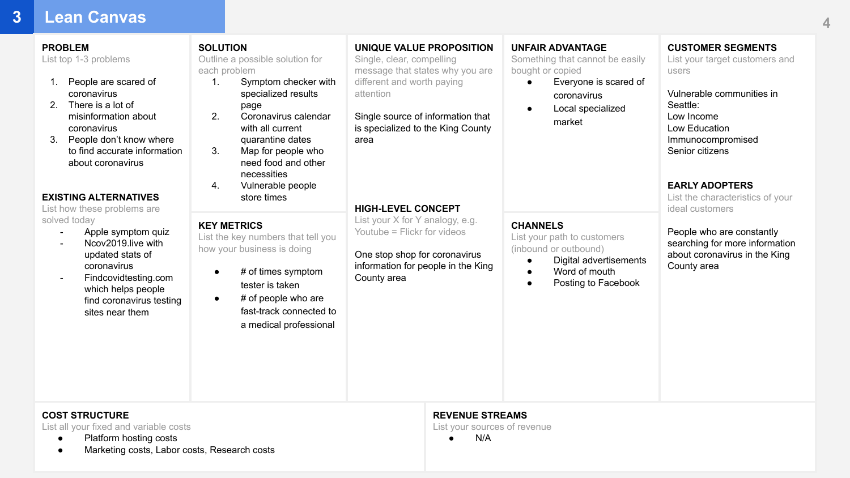### **3 Lean Canvas**

#### **PROBLEM**

List top 1-3 problems

- 1. People are scared of coronavirus
- 2. There is a lot of misinformation about coronavirus
- 3. People don't know where to find accurate information about coronavirus

#### **EXISTING ALTERNATIVES**

List how these problems are solved today

- Apple symptom quiz
- Ncov2019.live with updated stats of coronavirus
- Findcovidtesting.com which helps people find coronavirus testing sites near them

**SOLUTION** Outline a possible solution for each problem

- 1. Symptom checker with specialized results page
- 2. Coronavirus calendar with all current
- quarantine dates 3. Map for people who need food and other necessities
- 4. Vulnerable people store times

### **KEY METRICS**

List the key numbers that tell you how your business is doing

- # of times symptom tester is taken
	- $#$  of people who are fast-track connected to a medical professional

**UNIQUE VALUE PROPOSITION**

Single, clear, compelling message that states why you are different and worth paying attention

Single source of information that is specialized to the King County area

#### **UNFAIR ADVANTAGE**

Something that cannot be easily bought or copied

> ● Everyone is scared of coronavirus

● Digital advertisements ● Word of mouth ● Posting to Facebook

● Local specialized market

**CUSTOMER SEGMENTS** List your target customers and users

Vulnerable communities in Seattle: Low Income Low Education Immunocompromised Senior citizens

**EARLY ADOPTERS** List the characteristics of your ideal customers

People who are constantly searching for more information about coronavirus in the King County area

List your X for Y analogy, e.g. Youtube = Flickr for videos **CHANNELS** List your path to customers (inbound or outbound)

One stop shop for coronavirus information for people in the King County area

**HIGH-LEVEL CONCEPT**

### **COST STRUCTURE**

List all your fixed and variable costs

- Platform hosting costs
- Marketing costs, Labor costs, Research costs

### **REVENUE STREAMS**

List your sources of revenue

● N/A

**4**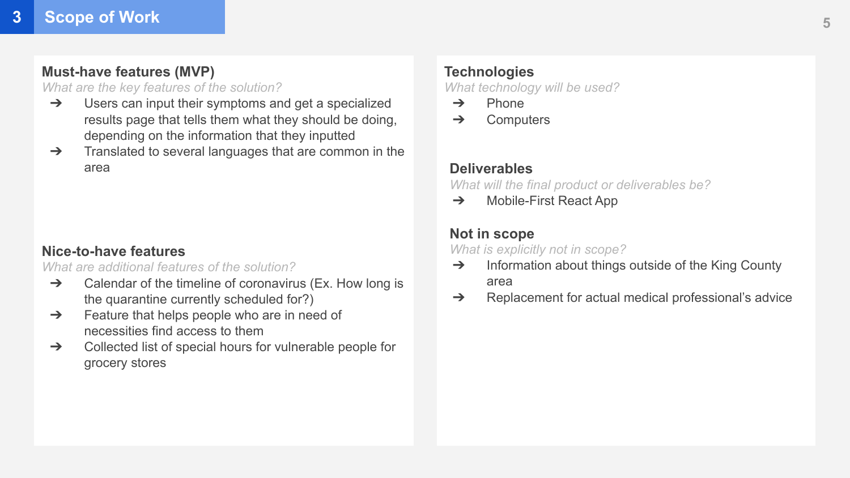### **Must-have features (MVP)**

### *What are the key features of the solution?*

- ➔ Users can input their symptoms and get a specialized results page that tells them what they should be doing, depending on the information that they inputted
- $\rightarrow$  Translated to several languages that are common in the area

## **Nice-to-have features**

*What are additional features of the solution?*

- $\rightarrow$  Calendar of the timeline of coronavirus (Ex. How long is the quarantine currently scheduled for?)
- $\rightarrow$  Feature that helps people who are in need of necessities find access to them
- ➔ Collected list of special hours for vulnerable people for grocery stores

## **Technologies**

*What technology will be used?*

- ➔ Phone
- $\rightarrow$  Computers

## **Deliverables**

*What will the final product or deliverables be?*

➔ Mobile-First React App

### **Not in scope**

*What is explicitly not in scope?*

- ➔ Information about things outside of the King County area
- ➔ Replacement for actual medical professional's advice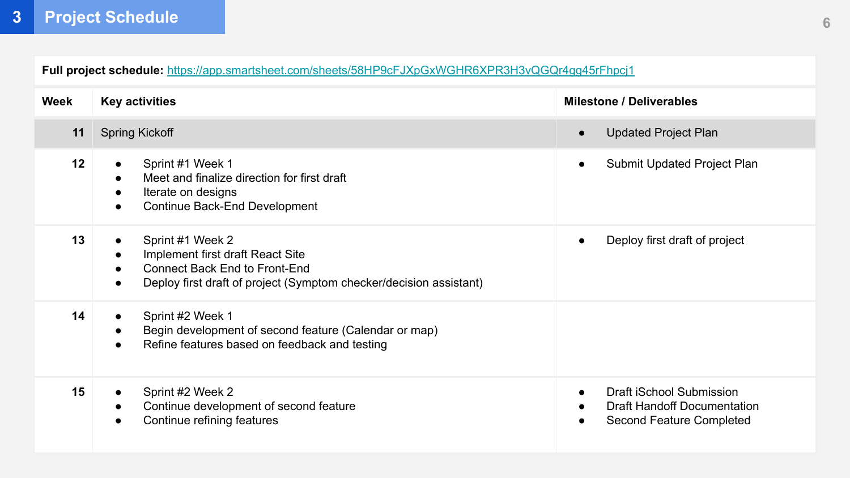**Full project schedule:** <https://app.smartsheet.com/sheets/58HP9cFJXpGxWGHR6XPR3H3vQGQr4gg45rFhpcj1>

| Week | <b>Key activities</b>                                                                                                                                                                                           | <b>Milestone / Deliverables</b>                                                            |  |
|------|-----------------------------------------------------------------------------------------------------------------------------------------------------------------------------------------------------------------|--------------------------------------------------------------------------------------------|--|
| 11   | <b>Spring Kickoff</b>                                                                                                                                                                                           | <b>Updated Project Plan</b><br>$\bullet$                                                   |  |
| 12   | Sprint #1 Week 1<br>$\bullet$<br>Meet and finalize direction for first draft<br>$\bullet$<br>Iterate on designs<br>$\bullet$<br>Continue Back-End Development<br>$\bullet$                                      | Submit Updated Project Plan                                                                |  |
| 13   | Sprint #1 Week 2<br>$\bullet$<br>Implement first draft React Site<br>$\bullet$<br>Connect Back End to Front-End<br>$\bullet$<br>Deploy first draft of project (Symptom checker/decision assistant)<br>$\bullet$ | Deploy first draft of project                                                              |  |
| 14   | Sprint #2 Week 1<br>$\bullet$<br>Begin development of second feature (Calendar or map)<br>$\bullet$<br>Refine features based on feedback and testing<br>$\bullet$                                               |                                                                                            |  |
| 15   | Sprint #2 Week 2<br>$\bullet$<br>Continue development of second feature<br>$\bullet$<br>Continue refining features<br>$\bullet$                                                                                 | Draft iSchool Submission<br><b>Draft Handoff Documentation</b><br>Second Feature Completed |  |